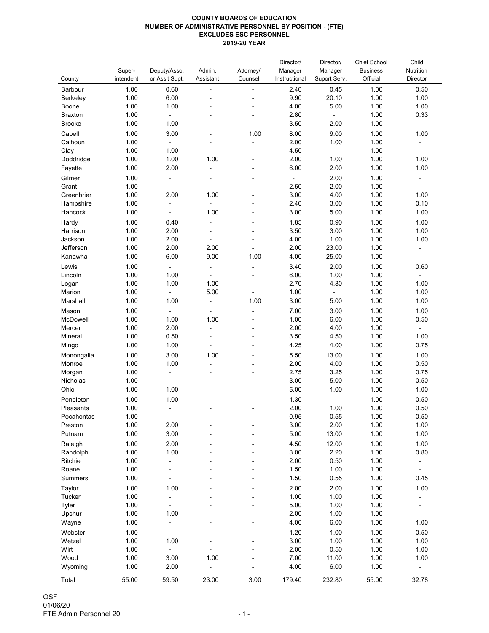## **COUNTY BOARDS OF EDUCATION NUMBER OF ADMINISTRATIVE PERSONNEL BY POSITION - (FTE) EXCLUDES ESC PERSONNEL 2019-20 YEAR**

| County         | Super-<br>intendent | Deputy/Asso.<br>or Ass't Supt. | Admin.<br>Assistant      | Attorney/<br>Counsel     | Director/<br>Manager<br>Instructional | Director/<br>Manager<br>Suport Serv. | <b>Chief School</b><br><b>Business</b><br>Official | Child<br>Nutrition<br>Director |
|----------------|---------------------|--------------------------------|--------------------------|--------------------------|---------------------------------------|--------------------------------------|----------------------------------------------------|--------------------------------|
| Barbour        | 1.00                | 0.60                           | $\blacksquare$           | $\overline{\phantom{0}}$ | 2.40                                  | 0.45                                 | 1.00                                               | 0.50                           |
| Berkeley       | 1.00                | 6.00                           |                          |                          | 9.90                                  | 20.10                                | 1.00                                               | 1.00                           |
| <b>Boone</b>   | 1.00                | 1.00                           |                          |                          | 4.00                                  | 5.00                                 | 1.00                                               | 1.00                           |
| <b>Braxton</b> | 1.00                | $\blacksquare$                 | $\blacksquare$           |                          | 2.80                                  | $\blacksquare$                       | 1.00                                               | 0.33                           |
| <b>Brooke</b>  | 1.00                | 1.00                           |                          |                          | 3.50                                  | 2.00                                 | 1.00                                               | ۰                              |
| Cabell         | 1.00                | 3.00                           | $\overline{\phantom{a}}$ | 1.00                     | 8.00                                  | 9.00                                 | 1.00                                               | 1.00                           |
| Calhoun        | 1.00                | $\blacksquare$                 | $\overline{\phantom{a}}$ | $\overline{\phantom{a}}$ | 2.00                                  | 1.00                                 | 1.00                                               | $\blacksquare$                 |
| Clay           | 1.00                | 1.00                           |                          |                          | 4.50                                  | $\blacksquare$                       | 1.00                                               | $\blacksquare$                 |
| Doddridge      | 1.00                | 1.00                           | 1.00                     | $\overline{\phantom{a}}$ | 2.00                                  | 1.00                                 | 1.00                                               | 1.00                           |
| Fayette        | 1.00                | 2.00                           | $\blacksquare$           | ۰                        | 6.00                                  | 2.00                                 | 1.00                                               | 1.00                           |
| Gilmer         | 1.00                | $\overline{\phantom{a}}$       |                          |                          |                                       | 2.00                                 | 1.00                                               | $\overline{\phantom{0}}$       |
| Grant          | 1.00                |                                |                          |                          | 2.50                                  | 2.00                                 | 1.00                                               |                                |
| Greenbrier     | 1.00                | 2.00                           | 1.00                     |                          | 3.00                                  | 4.00                                 | 1.00                                               | 1.00                           |
| Hampshire      | 1.00                | $\overline{\phantom{a}}$       |                          |                          | 2.40                                  | 3.00                                 | 1.00                                               | 0.10                           |
| Hancock        | 1.00                | $\overline{\phantom{a}}$       | 1.00                     |                          | 3.00                                  | 5.00                                 | 1.00                                               | 1.00                           |
| Hardy          | 1.00                | 0.40                           | $\blacksquare$           |                          | 1.85                                  | 0.90                                 | 1.00                                               | 1.00                           |
| Harrison       | 1.00                | 2.00                           |                          |                          | 3.50                                  | 3.00                                 | 1.00                                               | 1.00                           |
| Jackson        | 1.00                | 2.00                           | $\blacksquare$           |                          | 4.00                                  | 1.00                                 | 1.00                                               | 1.00                           |
| Jefferson      | 1.00                | 2.00                           | 2.00                     |                          | 2.00                                  | 23.00                                | 1.00                                               | $\blacksquare$                 |
| Kanawha        | 1.00                | 6.00                           | 9.00                     | 1.00                     | 4.00                                  | 25.00                                | 1.00                                               | $\blacksquare$                 |
| Lewis          | 1.00                | $\blacksquare$                 | $\blacksquare$           | $\overline{\phantom{a}}$ | 3.40                                  | 2.00                                 | 1.00                                               | 0.60                           |
| Lincoln        | 1.00                | 1.00                           |                          | $\blacksquare$           | 6.00                                  | 1.00                                 | 1.00                                               | $\overline{\phantom{a}}$       |
| Logan          | 1.00                | 1.00                           | 1.00                     | ٠                        | 2.70                                  | 4.30                                 | 1.00                                               | 1.00                           |
| Marion         | 1.00                | ۰                              | 5.00                     |                          | 1.00                                  | $\blacksquare$                       | 1.00                                               | 1.00                           |
| Marshall       | 1.00                | 1.00                           | $\blacksquare$           | 1.00                     | 3.00                                  | 5.00                                 | 1.00                                               | 1.00                           |
| Mason          | 1.00                | $\blacksquare$                 | $\overline{\phantom{a}}$ | $\overline{\phantom{a}}$ | 7.00                                  | 3.00                                 | 1.00                                               | 1.00                           |
| McDowell       | 1.00                | 1.00                           | 1.00                     |                          | 1.00                                  | 6.00                                 | 1.00                                               | 0.50                           |
| Mercer         | 1.00                | 2.00                           |                          |                          | 2.00                                  | 4.00                                 | 1.00                                               |                                |
| Mineral        | 1.00                | 0.50                           |                          |                          | 3.50                                  | 4.50                                 | 1.00                                               | 1.00                           |
| Mingo          | 1.00                | 1.00                           |                          |                          | 4.25                                  | 4.00                                 | 1.00                                               | 0.75                           |
| Monongalia     | 1.00                | 3.00                           | 1.00                     |                          | 5.50                                  | 13.00                                | 1.00                                               | 1.00                           |
| Monroe         | 1.00                | 1.00                           |                          |                          | 2.00                                  | 4.00                                 | 1.00                                               | 0.50                           |
| Morgan         | 1.00                |                                |                          |                          | 2.75                                  | 3.25                                 | 1.00                                               | 0.75                           |
| Nicholas       | 1.00                |                                |                          |                          | 3.00                                  | 5.00                                 | 1.00                                               | 0.50                           |
| Ohio           | 1.00                | 1.00                           |                          |                          | 5.00                                  | 1.00                                 | 1.00                                               | 1.00                           |
| Pendleton      | 1.00                | 1.00                           |                          |                          | 1.30                                  |                                      | 1.00                                               | 0.50                           |
| Pleasants      | 1.00                | $\overline{\phantom{a}}$       | $\blacksquare$           |                          | 2.00                                  | $\sim$<br>1.00                       | 1.00                                               | 0.50                           |
| Pocahontas     | 1.00                |                                |                          |                          | 0.95                                  | 0.55                                 | 1.00                                               | 0.50                           |
| Preston        | 1.00                | 2.00                           |                          |                          | 3.00                                  | 2.00                                 | 1.00                                               | 1.00                           |
| Putnam         | 1.00                | 3.00                           |                          |                          | 5.00                                  | 13.00                                | 1.00                                               | 1.00                           |
| Raleigh        | 1.00                | 2.00                           |                          |                          | 4.50                                  | 12.00                                | 1.00                                               | 1.00                           |
| Randolph       | 1.00                | 1.00                           |                          |                          | 3.00                                  | 2.20                                 | 1.00                                               | 0.80                           |
| Ritchie        | 1.00                |                                |                          |                          | 2.00                                  | 0.50                                 | 1.00                                               |                                |
| Roane          | 1.00                |                                |                          |                          | 1.50                                  | 1.00                                 | 1.00                                               |                                |
| <b>Summers</b> | 1.00                |                                |                          |                          | 1.50                                  | 0.55                                 | 1.00                                               | 0.45                           |
|                |                     |                                |                          |                          |                                       |                                      |                                                    |                                |
| Taylor         | 1.00                | 1.00                           |                          |                          | 2.00                                  | 2.00                                 | 1.00                                               | 1.00                           |
| <b>Tucker</b>  | 1.00                |                                |                          |                          | 1.00                                  | 1.00                                 | 1.00                                               |                                |
| Tyler          | 1.00<br>1.00        | 1.00                           |                          |                          | 5.00<br>2.00                          | 1.00<br>1.00                         | 1.00<br>1.00                                       |                                |
| Upshur         | 1.00                |                                |                          |                          | 4.00                                  | 6.00                                 | 1.00                                               | 1.00                           |
| Wayne          |                     | $\blacksquare$                 |                          |                          |                                       |                                      |                                                    |                                |
| Webster        | 1.00                | $\blacksquare$                 | $\blacksquare$           | ۰                        | 1.20                                  | 1.00                                 | 1.00                                               | 0.50                           |
| Wetzel         | 1.00                | 1.00                           |                          |                          | 3.00                                  | 1.00                                 | 1.00                                               | 1.00                           |
| Wirt           | 1.00                |                                |                          |                          | 2.00                                  | 0.50                                 | 1.00                                               | 1.00                           |
| Wood           | 1.00                | 3.00                           | 1.00                     |                          | 7.00                                  | 11.00                                | 1.00                                               | 1.00                           |
| Wyoming        | 1.00                | 2.00                           | $\blacksquare$           | ۰.                       | 4.00                                  | 6.00                                 | 1.00                                               | ۰                              |
| Total          | 55.00               | 59.50                          | 23.00                    | 3.00                     | 179.40                                | 232.80                               | 55.00                                              | 32.78                          |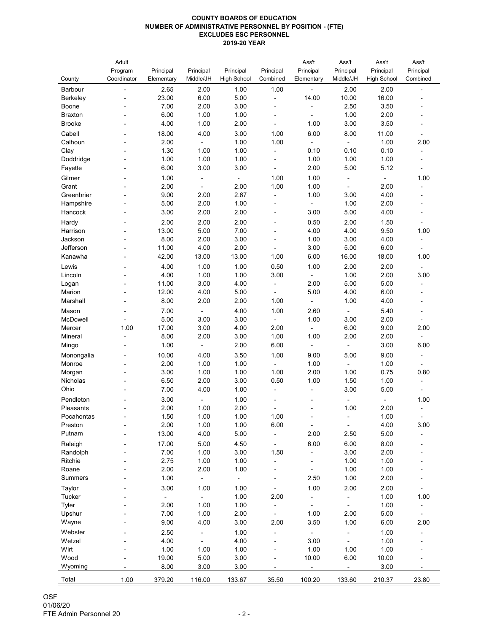## **COUNTY BOARDS OF EDUCATION NUMBER OF ADMINISTRATIVE PERSONNEL BY POSITION - (FTE) EXCLUDES ESC PERSONNEL 2019-20 YEAR**

|                                 | Adult<br>Program                           | Principal      | Principal                | Principal          | Principal                                  | Ass't<br>Principal | Ass't<br>Principal | Ass't<br>Principal | Ass't<br>Principal                   |
|---------------------------------|--------------------------------------------|----------------|--------------------------|--------------------|--------------------------------------------|--------------------|--------------------|--------------------|--------------------------------------|
| County                          | Coordinator                                | Elementary     | Middle/JH                | <b>High School</b> | Combined                                   | Elementary         | Middle/JH          | <b>High School</b> | Combined                             |
| <b>Barbour</b>                  | $\blacksquare$                             | 2.65           | 2.00                     | 1.00               | 1.00                                       | $\blacksquare$     | 2.00               | 2.00               | $\overline{\phantom{a}}$             |
| <b>Berkeley</b><br><b>Boone</b> |                                            | 23.00<br>7.00  | 6.00<br>2.00             | 5.00<br>3.00       | $\blacksquare$                             | 14.00              | 10.00<br>2.50      | 16.00<br>3.50      |                                      |
| <b>Braxton</b>                  |                                            | 6.00           | 1.00                     | 1.00               | $\overline{\phantom{a}}$<br>$\blacksquare$ |                    | 1.00               | 2.00               |                                      |
| <b>Brooke</b>                   |                                            | 4.00           | 1.00                     | 2.00               |                                            | 1.00               | 3.00               | 3.50               |                                      |
| Cabell                          |                                            | 18.00          | 4.00                     | 3.00               | 1.00                                       | 6.00               | 8.00               | 11.00              |                                      |
| Calhoun                         | $\overline{\phantom{a}}$<br>$\blacksquare$ | 2.00           |                          | 1.00               | 1.00                                       |                    |                    | 1.00               | $\qquad \qquad \blacksquare$<br>2.00 |
| Clay                            |                                            | 1.30           | 1.00                     | 1.00               |                                            | 0.10               | 0.10               | 0.10               |                                      |
| Doddridge                       |                                            | 1.00           | 1.00                     | 1.00               | $\overline{\phantom{a}}$                   | 1.00               | 1.00               | 1.00               |                                      |
| Fayette                         |                                            | 6.00           | 3.00                     | 3.00               | $\overline{\phantom{a}}$                   | 2.00               | 5.00               | 5.12               | $\blacksquare$                       |
| Gilmer                          |                                            | 1.00           | $\blacksquare$           | $\blacksquare$     | 1.00                                       | 1.00               |                    |                    | 1.00                                 |
| Grant                           |                                            | 2.00           |                          | 2.00               | 1.00                                       | 1.00               |                    | 2.00               |                                      |
| Greenbrier                      |                                            | 9.00           | 2.00                     | 2.67               |                                            | 1.00               | 3.00               | 4.00               |                                      |
| Hampshire                       |                                            | 5.00           | 2.00                     | 1.00               | $\blacksquare$                             | $\blacksquare$     | 1.00               | 2.00               |                                      |
| Hancock                         |                                            | 3.00           | 2.00                     | 2.00               |                                            | 3.00               | 5.00               | 4.00               |                                      |
| Hardy                           |                                            | 2.00           | 2.00                     | 2.00               | $\blacksquare$                             | 0.50               | 2.00               | 1.50               |                                      |
| Harrison                        | $\overline{\phantom{a}}$                   | 13.00          | 5.00                     | 7.00               | $\blacksquare$                             | 4.00               | 4.00               | 9.50               | 1.00                                 |
| Jackson                         | $\blacksquare$                             | 8.00           | 2.00                     | 3.00               |                                            | 1.00               | 3.00               | 4.00               |                                      |
| Jefferson                       | $\blacksquare$                             | 11.00          | 4.00                     | 2.00               |                                            | 3.00               | 5.00               | 6.00               |                                      |
| Kanawha                         |                                            | 42.00          | 13.00                    | 13.00              | 1.00                                       | 6.00               | 16.00              | 18.00              | 1.00                                 |
| Lewis                           |                                            | 4.00           | 1.00                     | 1.00               | 0.50                                       | 1.00               | 2.00               | 2.00               |                                      |
| Lincoln                         | ۰                                          | 4.00           | 1.00                     | 1.00               | 3.00                                       |                    | 1.00               | 2.00               | 3.00                                 |
| Logan                           |                                            | 11.00          | 3.00                     | 4.00               | $\overline{a}$                             | 2.00               | 5.00               | 5.00               |                                      |
| Marion                          |                                            | 12.00          | 4.00                     | 5.00               | $\overline{\phantom{a}}$                   | 5.00               | 4.00               | 6.00               |                                      |
| Marshall                        |                                            | 8.00           | 2.00                     | 2.00               | 1.00                                       |                    | 1.00               | 4.00               |                                      |
| Mason                           |                                            | 7.00           | $\blacksquare$           | 4.00               | 1.00                                       | 2.60               |                    | 5.40               |                                      |
| McDowell                        |                                            | 5.00           | 3.00                     | 3.00               |                                            | 1.00               | 3.00               | 2.00               | $\qquad \qquad \blacksquare$         |
| Mercer                          | 1.00                                       | 17.00          | 3.00                     | 4.00               | 2.00                                       |                    | 6.00               | 9.00               | 2.00                                 |
| Mineral                         |                                            | 8.00           | 2.00                     | 3.00               | 1.00                                       | 1.00               | 2.00               | 2.00               |                                      |
| Mingo                           |                                            | 1.00           |                          | 2.00               | 6.00                                       |                    |                    | 3.00               | 6.00                                 |
| Monongalia                      |                                            | 10.00          | 4.00                     | 3.50               | 1.00                                       | 9.00               | 5.00               | 9.00               | $\overline{\phantom{a}}$             |
| Monroe                          |                                            | 2.00           | 1.00                     | 1.00               |                                            | 1.00               |                    | 1.00               | $\blacksquare$                       |
| Morgan                          | $\blacksquare$                             | 3.00           | 1.00                     | 1.00               | 1.00                                       | 2.00               | 1.00               | 0.75               | 0.80                                 |
| <b>Nicholas</b>                 |                                            | 6.50           | 2.00                     | 3.00               | 0.50                                       | 1.00               | 1.50               | 1.00               |                                      |
| Ohio                            |                                            | 7.00           | 4.00                     | 1.00               |                                            | $\blacksquare$     | 3.00               | 5.00               | $\overline{\phantom{a}}$             |
| Pendleton                       | $\overline{\phantom{a}}$                   | 3.00           | $\blacksquare$           | 1.00               | $\blacksquare$                             | $\blacksquare$     | $\blacksquare$     | $\blacksquare$     | 1.00                                 |
| Pleasants<br>Pocahontas         |                                            | 2.00<br>1.50   | 1.00<br>1.00             | 2.00<br>1.00       | 1.00                                       |                    | 1.00               | 2.00<br>1.00       |                                      |
| Preston                         |                                            | 2.00           | 1.00                     | 1.00               | 6.00                                       | $\blacksquare$     |                    | 4.00               | $\blacksquare$<br>3.00               |
| Putnam                          | $\overline{a}$                             | 13.00          | 4.00                     | 5.00               |                                            | 2.00               | 2.50               | 5.00               |                                      |
| Raleigh                         | $\blacksquare$                             | 17.00          | 5.00                     | 4.50               |                                            | 6.00               | 6.00               | 8.00               |                                      |
| Randolph                        |                                            | 7.00           | 1.00                     | 3.00               | 1.50                                       |                    | 3.00               | 2.00               |                                      |
| Ritchie                         |                                            | 2.75           | 1.00                     | 1.00               |                                            |                    | 1.00               | 1.00               |                                      |
| Roane                           |                                            | 2.00           | 2.00                     | 1.00               |                                            |                    | 1.00               | 1.00               |                                      |
| <b>Summers</b>                  |                                            | 1.00           | $\overline{\phantom{0}}$ | $\blacksquare$     |                                            | 2.50               | 1.00               | 2.00               |                                      |
| Taylor                          |                                            | 3.00           | 1.00                     | 1.00               |                                            | 1.00               | 2.00               | 2.00               |                                      |
| <b>Tucker</b>                   |                                            | $\blacksquare$ |                          | 1.00               | 2.00                                       | $\blacksquare$     |                    | 1.00               | 1.00                                 |
| <b>Tyler</b>                    |                                            | 2.00           | 1.00                     | 1.00               |                                            |                    |                    | 1.00               |                                      |
| Upshur                          |                                            | 7.00           | 1.00                     | 2.00               |                                            | 1.00               | 2.00               | 5.00               |                                      |
| Wayne                           |                                            | 9.00           | 4.00                     | 3.00               | 2.00                                       | 3.50               | 1.00               | 6.00               | 2.00                                 |
| Webster                         |                                            | 2.50           | $\overline{\phantom{a}}$ | 1.00               |                                            |                    |                    | 1.00               |                                      |
| Wetzel                          |                                            | 4.00           |                          | 4.00               |                                            | 3.00               |                    | 1.00               |                                      |
| Wirt                            |                                            | 1.00           | 1.00                     | 1.00               |                                            | 1.00               | 1.00               | 1.00               |                                      |
| Wood                            |                                            | 19.00          | 5.00                     | 3.00               |                                            | 10.00              | 6.00               | 10.00              |                                      |
| Wyoming                         |                                            | 8.00           | 3.00                     | 3.00               |                                            |                    |                    | 3.00               |                                      |
| Total                           | 1.00                                       | 379.20         | 116.00                   | 133.67             | 35.50                                      | 100.20             | 133.60             | 210.37             | 23.80                                |